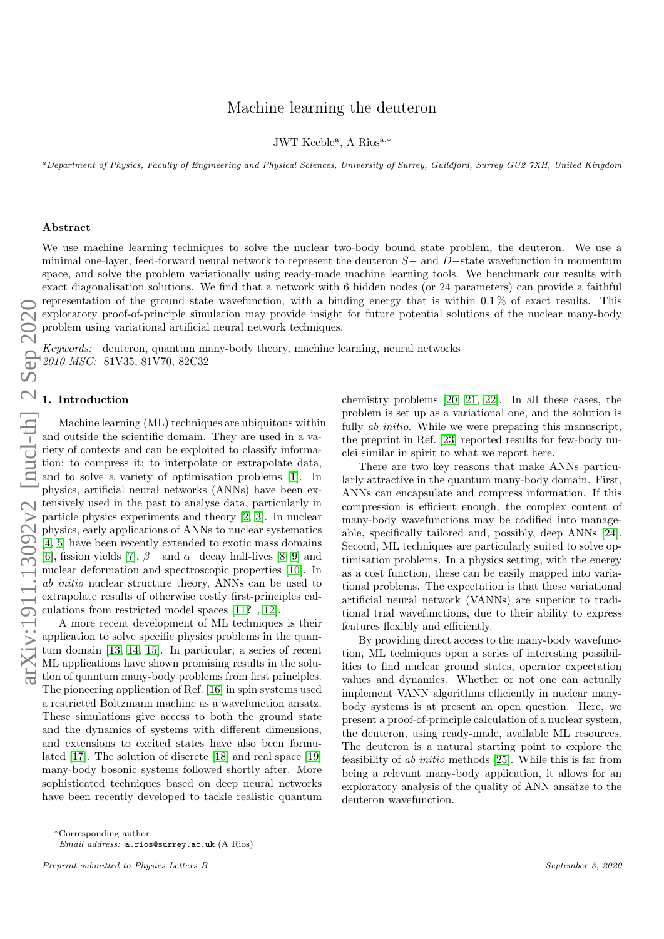# arXiv:1911.13092v2 [nucl-th] 2 Sep 2020

# Machine learning the deuteron

JWT Keeble<sup>a</sup>, A Rios<sup>a,\*</sup>

<sup>a</sup>Department of Physics, Faculty of Engineering and Physical Sciences, University of Surrey, Guildford, Surrey GU2 7XH, United Kingdom

### Abstract

We use machine learning techniques to solve the nuclear two-body bound state problem, the deuteron. We use a minimal one-layer, feed-forward neural network to represent the deuteron S− and D−state wavefunction in momentum space, and solve the problem variationally using ready-made machine learning tools. We benchmark our results with exact diagonalisation solutions. We find that a network with 6 hidden nodes (or 24 parameters) can provide a faithful representation of the ground state wavefunction, with a binding energy that is within  $0.1\%$  of exact results. This exploratory proof-of-principle simulation may provide insight for future potential solutions of the nuclear many-body problem using variational artificial neural network techniques.

Keywords: deuteron, quantum many-body theory, machine learning, neural networks 2010 MSC: 81V35, 81V70, 82C32

### 1. Introduction

Machine learning (ML) techniques are ubiquitous within and outside the scientific domain. They are used in a variety of contexts and can be exploited to classify information; to compress it; to interpolate or extrapolate data, and to solve a variety of optimisation problems [\[1\]](#page-6-0). In physics, artificial neural networks (ANNs) have been extensively used in the past to analyse data, particularly in particle physics experiments and theory [\[2,](#page-6-1) [3\]](#page-7-0). In nuclear physics, early applications of ANNs to nuclear systematics [\[4,](#page-7-1) [5\]](#page-7-2) have been recently extended to exotic mass domains [\[6\]](#page-7-3), fission yields [\[7\]](#page-7-4),  $\beta$  – and  $\alpha$  –decay half-lives [\[8,](#page-7-5) [9\]](#page-7-6) and nuclear deformation and spectroscopic properties [\[10\]](#page-7-7). In ab initio nuclear structure theory, ANNs can be used to extrapolate results of otherwise costly first-principles calculations from restricted model spaces [\[11](#page-7-8)? , [12\]](#page-7-9).

A more recent development of ML techniques is their application to solve specific physics problems in the quantum domain [\[13,](#page-7-10) [14,](#page-7-11) [15\]](#page-7-12). In particular, a series of recent ML applications have shown promising results in the solution of quantum many-body problems from first principles. The pioneering application of Ref. [\[16\]](#page-7-13) in spin systems used a restricted Boltzmann machine as a wavefunction ansatz. These simulations give access to both the ground state and the dynamics of systems with different dimensions, and extensions to excited states have also been formulated [\[17\]](#page-7-14). The solution of discrete [\[18\]](#page-7-15) and real space [\[19\]](#page-7-16) many-body bosonic systems followed shortly after. More sophisticated techniques based on deep neural networks have been recently developed to tackle realistic quantum

chemistry problems [\[20,](#page-7-17) [21,](#page-7-18) [22\]](#page-7-19). In all these cases, the problem is set up as a variational one, and the solution is fully *ab initio*. While we were preparing this manuscript, the preprint in Ref. [\[23\]](#page-7-20) reported results for few-body nuclei similar in spirit to what we report here.

There are two key reasons that make ANNs particularly attractive in the quantum many-body domain. First, ANNs can encapsulate and compress information. If this compression is efficient enough, the complex content of many-body wavefunctions may be codified into manageable, specifically tailored and, possibly, deep ANNs [\[24\]](#page-7-21). Second, ML techniques are particularly suited to solve optimisation problems. In a physics setting, with the energy as a cost function, these can be easily mapped into variational problems. The expectation is that these variational artificial neural network (VANNs) are superior to traditional trial wavefunctions, due to their ability to express features flexibly and efficiently.

By providing direct access to the many-body wavefunction, ML techniques open a series of interesting possibilities to find nuclear ground states, operator expectation values and dynamics. Whether or not one can actually implement VANN algorithms efficiently in nuclear manybody systems is at present an open question. Here, we present a proof-of-principle calculation of a nuclear system, the deuteron, using ready-made, available ML resources. The deuteron is a natural starting point to explore the feasibility of ab initio methods [\[25\]](#page-7-22). While this is far from being a relevant many-body application, it allows for an exploratory analysis of the quality of ANN ansätze to the deuteron wavefunction.

<sup>∗</sup>Corresponding author

Email address: a.rios@surrey.ac.uk (A Rios)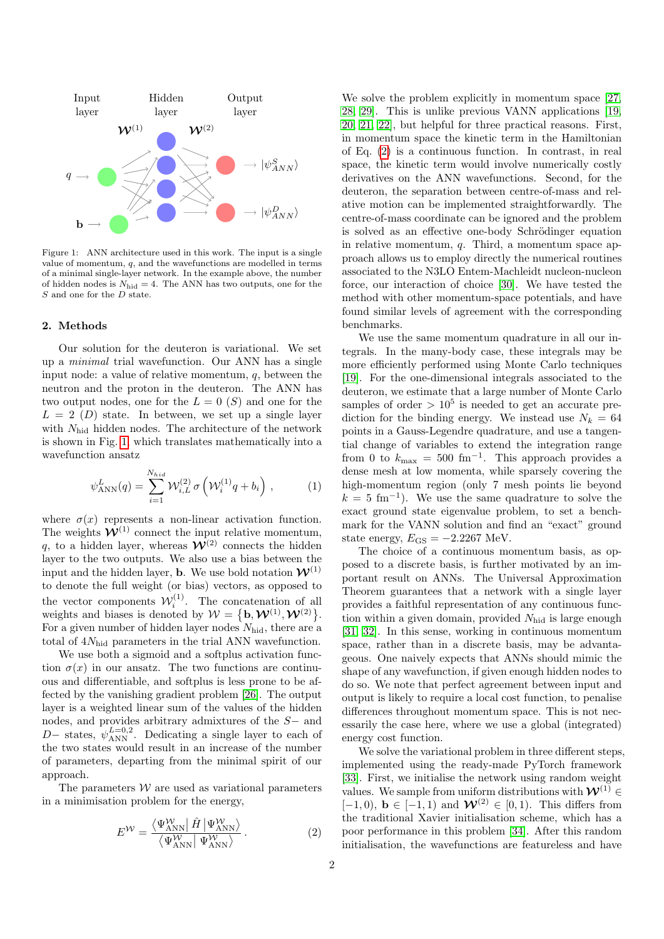

<span id="page-1-0"></span>Figure 1: ANN architecture used in this work. The input is a single value of momentum,  $q$ , and the wavefunctions are modelled in terms of a minimal single-layer network. In the example above, the number of hidden nodes is  $N_{\text{hid}} = 4$ . The ANN has two outputs, one for the S and one for the D state.

### 2. Methods

Our solution for the deuteron is variational. We set up a minimal trial wavefunction. Our ANN has a single input node: a value of relative momentum, q, between the neutron and the proton in the deuteron. The ANN has two output nodes, one for the  $L = 0$  (S) and one for the  $L = 2$  (D) state. In between, we set up a single layer with  $N_{\text{hid}}$  hidden nodes. The architecture of the network is shown in Fig. [1,](#page-1-0) which translates mathematically into a wavefunction ansatz

$$
\psi_{\text{ANN}}^{L}(q) = \sum_{i=1}^{N_{hid}} \mathcal{W}_{i,L}^{(2)} \sigma \left( \mathcal{W}_i^{(1)} q + b_i \right), \qquad (1)
$$

where  $\sigma(x)$  represents a non-linear activation function. The weights  $\mathcal{W}^{(1)}$  connect the input relative momentum, q, to a hidden layer, whereas  $\mathcal{W}^{(2)}$  connects the hidden layer to the two outputs. We also use a bias between the input and the hidden layer, **b**. We use bold notation  $\mathcal{W}^{(1)}$ to denote the full weight (or bias) vectors, as opposed to the vector components  $\mathcal{W}_i^{(1)}$ . The concatenation of all weights and biases is denoted by  $W = \{b, \mathcal{W}^{(1)}, \mathcal{W}^{(2)}\}.$ For a given number of hidden layer nodes  $N_{\text{hid}}$ , there are a total of  $4N<sub>hid</sub>$  parameters in the trial ANN wavefunction.

We use both a sigmoid and a softplus activation function  $\sigma(x)$  in our ansatz. The two functions are continuous and differentiable, and softplus is less prone to be affected by the vanishing gradient problem [\[26\]](#page-7-23). The output layer is a weighted linear sum of the values of the hidden nodes, and provides arbitrary admixtures of the S− and D− states,  $\psi_{\text{ANN}}^{L=0,2}$ . Dedicating a single layer to each of the two states would result in an increase of the number of parameters, departing from the minimal spirit of our approach.

The parameters  $W$  are used as variational parameters in a minimisation problem for the energy,

$$
E^{\mathcal{W}} = \frac{\langle \Psi_{\text{ANN}}^{\mathcal{W}} | \hat{H} | \Psi_{\text{ANN}}^{\mathcal{W}} \rangle}{\langle \Psi_{\text{ANN}}^{\mathcal{W}} | \Psi_{\text{ANN}}^{\mathcal{W}} \rangle}.
$$
(2)

We solve the problem explicitly in momentum space [\[27,](#page-7-24) [28,](#page-7-25) [29\]](#page-7-26). This is unlike previous VANN applications [\[19,](#page-7-16) [20,](#page-7-17) [21,](#page-7-18) [22\]](#page-7-19), but helpful for three practical reasons. First, in momentum space the kinetic term in the Hamiltonian of Eq. [\(2\)](#page-1-1) is a continuous function. In contrast, in real space, the kinetic term would involve numerically costly derivatives on the ANN wavefunctions. Second, for the deuteron, the separation between centre-of-mass and relative motion can be implemented straightforwardly. The centre-of-mass coordinate can be ignored and the problem is solved as an effective one-body Schrödinger equation in relative momentum, q. Third, a momentum space approach allows us to employ directly the numerical routines associated to the N3LO Entem-Machleidt nucleon-nucleon force, our interaction of choice [\[30\]](#page-7-27). We have tested the method with other momentum-space potentials, and have found similar levels of agreement with the corresponding benchmarks.

We use the same momentum quadrature in all our integrals. In the many-body case, these integrals may be more efficiently performed using Monte Carlo techniques [\[19\]](#page-7-16). For the one-dimensional integrals associated to the deuteron, we estimate that a large number of Monte Carlo samples of order  $> 10^5$  is needed to get an accurate prediction for the binding energy. We instead use  $N_k = 64$ points in a Gauss-Legendre quadrature, and use a tangential change of variables to extend the integration range from 0 to  $k_{\text{max}} = 500 \text{ fm}^{-1}$ . This approach provides a dense mesh at low momenta, while sparsely covering the high-momentum region (only 7 mesh points lie beyond  $k = 5$  fm<sup>-1</sup>). We use the same quadrature to solve the exact ground state eigenvalue problem, to set a benchmark for the VANN solution and find an "exact" ground state energy,  $E_{\text{GS}} = -2.2267$  MeV.

The choice of a continuous momentum basis, as opposed to a discrete basis, is further motivated by an important result on ANNs. The Universal Approximation Theorem guarantees that a network with a single layer provides a faithful representation of any continuous function within a given domain, provided  $N_{\text{hid}}$  is large enough [\[31,](#page-7-28) [32\]](#page-7-29). In this sense, working in continuous momentum space, rather than in a discrete basis, may be advantageous. One naively expects that ANNs should mimic the shape of any wavefunction, if given enough hidden nodes to do so. We note that perfect agreement between input and output is likely to require a local cost function, to penalise differences throughout momentum space. This is not necessarily the case here, where we use a global (integrated) energy cost function.

<span id="page-1-1"></span>We solve the variational problem in three different steps, implemented using the ready-made PyTorch framework [\[33\]](#page-7-30). First, we initialise the network using random weight values. We sample from uniform distributions with  $\mathcal{W}^{(1)}$ [−1, 0), **b** ∈ [−1, 1) and  $W^{(2)}$  ∈ [0, 1). This differs from the traditional Xavier initialisation scheme, which has a poor performance in this problem [\[34\]](#page-7-31). After this random initialisation, the wavefunctions are featureless and have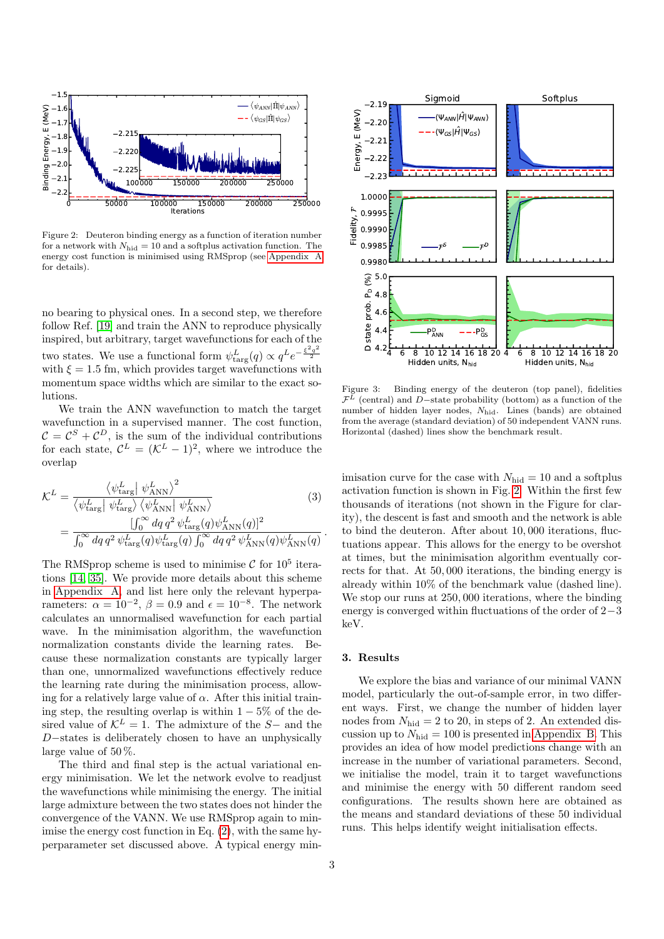

<span id="page-2-0"></span>Figure 2: Deuteron binding energy as a function of iteration number for a network with  $N_{\text{hid}} = 10$  and a softplus activation function. The energy cost function is minimised using RMSprop (see [Appendix A](#page-4-0) for details).

no bearing to physical ones. In a second step, we therefore follow Ref. [\[19\]](#page-7-16) and train the ANN to reproduce physically inspired, but arbitrary, target wavefunctions for each of the two states. We use a functional form  $\psi_{\text{targ}}^L(q) \propto q^L e^{-\frac{\xi^2 q^2}{2}}$ with  $\xi = 1.5$  fm, which provides target wavefunctions with momentum space widths which are similar to the exact solutions.

We train the ANN wavefunction to match the target wavefunction in a supervised manner. The cost function,  $\mathcal{C} = \mathcal{C}^{S} + \mathcal{C}^{D}$ , is the sum of the individual contributions for each state,  $\mathcal{C}^L = (\mathcal{K}^L - 1)^2$ , where we introduce the overlap

$$
\mathcal{K}^{L} = \frac{\left\langle \psi_{\text{targ}}^{L} \right| \psi_{\text{ANN}}^{L} \right\rangle^{2}}{\left\langle \psi_{\text{targ}}^{L} \right| \psi_{\text{targ}}^{L} \left\langle \psi_{\text{ANN}}^{L} \right| \psi_{\text{ANN}}^{L}} \tag{3}
$$
\n
$$
= \frac{\left[ \int_{0}^{\infty} dq \, q^{2} \psi_{\text{targ}}^{L} (q) \psi_{\text{ANN}}^{L} (q) \right]^{2}}{\int_{0}^{\infty} dq \, q^{2} \psi_{\text{targ}}^{L} (q) \psi_{\text{targ}}^{L} (q) \int_{0}^{\infty} dq \, q^{2} \psi_{\text{ANN}}^{L} (q) \psi_{\text{ANN}}^{L} (q)}
$$

The RMSprop scheme is used to minimise  $\mathcal{C}$  for  $10^5$  iterations [\[14,](#page-7-11) [35\]](#page-7-32). We provide more details about this scheme in [Appendix A,](#page-4-0) and list here only the relevant hyperparameters:  $\alpha = 10^{-2}$ ,  $\beta = 0.9$  and  $\epsilon = 10^{-8}$ . The network calculates an unnormalised wavefunction for each partial wave. In the minimisation algorithm, the wavefunction normalization constants divide the learning rates. Because these normalization constants are typically larger than one, unnormalized wavefunctions effectively reduce the learning rate during the minimisation process, allowing for a relatively large value of  $\alpha$ . After this initial training step, the resulting overlap is within  $1 - 5\%$  of the desired value of  $K^L = 1$ . The admixture of the S– and the D−states is deliberately chosen to have an unphysically large value of 50 %.

The third and final step is the actual variational energy minimisation. We let the network evolve to readjust the wavefunctions while minimising the energy. The initial large admixture between the two states does not hinder the convergence of the VANN. We use RMSprop again to minimise the energy cost function in Eq. [\(2\)](#page-1-1), with the same hyperparameter set discussed above. A typical energy min-



<span id="page-2-2"></span>Figure 3: Binding energy of the deuteron (top panel), fidelities  $\mathcal{F}^L$  (central) and D-state probability (bottom) as a function of the number of hidden layer nodes,  $N_{\text{hid}}$ . Lines (bands) are obtained from the average (standard deviation) of 50 independent VANN runs. Horizontal (dashed) lines show the benchmark result.

<span id="page-2-1"></span>imisation curve for the case with  $N_{\text{hid}} = 10$  and a softplus activation function is shown in Fig. [2.](#page-2-0) Within the first few thousands of iterations (not shown in the Figure for clarity), the descent is fast and smooth and the network is able to bind the deuteron. After about 10, 000 iterations, fluctuations appear. This allows for the energy to be overshot at times, but the minimisation algorithm eventually corrects for that. At 50, 000 iterations, the binding energy is already within 10% of the benchmark value (dashed line). We stop our runs at  $250,000$  iterations, where the binding energy is converged within fluctuations of the order of 2−3 keV.

### 3. Results

.

We explore the bias and variance of our minimal VANN model, particularly the out-of-sample error, in two different ways. First, we change the number of hidden layer nodes from  $N_{\text{hid}} = 2$  to 20, in steps of 2. An extended discussion up to  $N_{\text{hid}} = 100$  is presented in [Appendix B.](#page-5-0) This provides an idea of how model predictions change with an increase in the number of variational parameters. Second, we initialise the model, train it to target wavefunctions and minimise the energy with 50 different random seed configurations. The results shown here are obtained as the means and standard deviations of these 50 individual runs. This helps identify weight initialisation effects.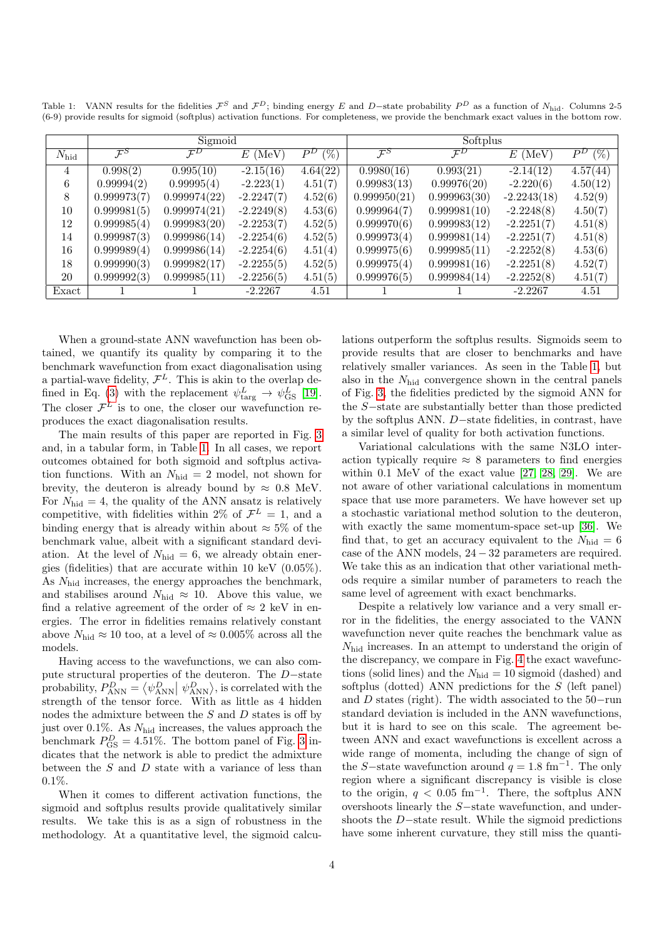<span id="page-3-0"></span>Table 1: VANN results for the fidelities  $\mathcal{F}^S$  and  $\mathcal{F}^D$ ; binding energy E and D−state probability  $P^D$  as a function of N<sub>hid</sub>. Columns 2-5 (6-9) provide results for sigmoid (softplus) activation functions. For completeness, we provide the benchmark exact values in the bottom row.

|                | Sigmoid         |                 |              |                 | Softplus        |                 |               |                  |
|----------------|-----------------|-----------------|--------------|-----------------|-----------------|-----------------|---------------|------------------|
| $N_{\rm hid}$  | $\mathcal{F}^S$ | $\mathcal{F}^D$ | $E$ (MeV)    | $(\%)$<br>$P^D$ | $\mathcal{F}^S$ | $\mathcal{F}^D$ | $E$ (MeV)     | $(\% )$<br>$P^D$ |
| $\overline{4}$ | 0.998(2)        | 0.995(10)       | $-2.15(16)$  | 4.64(22)        | 0.9980(16)      | 0.993(21)       | $-2.14(12)$   | 4.57(44)         |
| 6              | 0.99994(2)      | 0.99995(4)      | $-2.223(1)$  | 4.51(7)         | 0.99983(13)     | 0.99976(20)     | $-2.220(6)$   | 4.50(12)         |
| 8              | 0.999973(7)     | 0.999974(22)    | $-2.2247(7)$ | 4.52(6)         | 0.999950(21)    | 0.999963(30)    | $-2.2243(18)$ | 4.52(9)          |
| 10             | 0.999981(5)     | 0.999974(21)    | $-2.2249(8)$ | 4.53(6)         | 0.999964(7)     | 0.999981(10)    | $-2.2248(8)$  | 4.50(7)          |
| 12             | 0.999985(4)     | 0.999983(20)    | $-2.2253(7)$ | 4.52(5)         | 0.999970(6)     | 0.999983(12)    | $-2.2251(7)$  | 4.51(8)          |
| 14             | 0.999987(3)     | 0.999986(14)    | $-2.2254(6)$ | 4.52(5)         | 0.999973(4)     | 0.999981(14)    | $-2.2251(7)$  | 4.51(8)          |
| 16             | 0.999989(4)     | 0.999986(14)    | $-2.2254(6)$ | 4.51(4)         | 0.999975(6)     | 0.999985(11)    | $-2.2252(8)$  | 4.53(6)          |
| 18             | 0.999990(3)     | 0.999982(17)    | $-2.2255(5)$ | 4.52(5)         | 0.999975(4)     | 0.999981(16)    | $-2.2251(8)$  | 4.52(7)          |
| 20             | 0.999992(3)     | 0.999985(11)    | $-2.2256(5)$ | 4.51(5)         | 0.999976(5)     | 0.999984(14)    | $-2.2252(8)$  | 4.51(7)          |
| Exact          |                 |                 | $-2.2267$    | 4.51            |                 |                 | $-2.2267$     | 4.51             |

When a ground-state ANN wavefunction has been obtained, we quantify its quality by comparing it to the benchmark wavefunction from exact diagonalisation using a partial-wave fidelity,  $\mathcal{F}^L$ . This is akin to the overlap de-fined in Eq. [\(3\)](#page-2-1) with the replacement  $\psi_{\text{targ}}^L \to \psi_{\text{GS}}^L$  [\[19\]](#page-7-16). The closer  $\mathcal{F}^L$  is to one, the closer our wavefunction reproduces the exact diagonalisation results.

The main results of this paper are reported in Fig. [3](#page-2-2) and, in a tabular form, in Table [1.](#page-3-0) In all cases, we report outcomes obtained for both sigmoid and softplus activation functions. With an  $N_{\text{hid}} = 2$  model, not shown for brevity, the deuteron is already bound by  $\approx 0.8$  MeV. For  $N_{\text{hid}} = 4$ , the quality of the ANN ansatz is relatively competitive, with fidelities within 2% of  $\mathcal{F}^L = 1$ , and a binding energy that is already within about  $\approx 5\%$  of the benchmark value, albeit with a significant standard deviation. At the level of  $N_{\text{hid}} = 6$ , we already obtain energies (fidelities) that are accurate within 10 keV (0.05%). As  $N_{\text{hid}}$  increases, the energy approaches the benchmark, and stabilises around  $N_{\text{hid}} \approx 10$ . Above this value, we find a relative agreement of the order of  $\approx 2 \text{ keV}$  in energies. The error in fidelities remains relatively constant above  $N_{\text{hid}} \approx 10$  too, at a level of  $\approx 0.005\%$  across all the models.

Having access to the wavefunctions, we can also compute structural properties of the deuteron. The D−state probability,  $P_{\text{ANN}}^D = \langle \psi_{\text{ANN}}^D | \psi_{\text{ANN}}^D \rangle$ , is correlated with the strength of the tensor force. With as little as 4 hidden nodes the admixture between the  $S$  and  $D$  states is off by just over 0.1%. As  $N_{\text{hid}}$  increases, the values approach the benchmark  $P_{\text{GS}}^D = 4.51\%$ . The bottom panel of Fig. [3](#page-2-2) indicates that the network is able to predict the admixture between the  $S$  and  $D$  state with a variance of less than  $0.1\%$ .

When it comes to different activation functions, the sigmoid and softplus results provide qualitatively similar results. We take this is as a sign of robustness in the methodology. At a quantitative level, the sigmoid calculations outperform the softplus results. Sigmoids seem to provide results that are closer to benchmarks and have relatively smaller variances. As seen in the Table [1,](#page-3-0) but also in the  $N_{\rm hid}$  convergence shown in the central panels of Fig. [3,](#page-2-2) the fidelities predicted by the sigmoid ANN for the S−state are substantially better than those predicted by the softplus ANN. D−state fidelities, in contrast, have a similar level of quality for both activation functions.

Variational calculations with the same N3LO interaction typically require  $\approx 8$  parameters to find energies within 0.1 MeV of the exact value [\[27,](#page-7-24) [28,](#page-7-25) [29\]](#page-7-26). We are not aware of other variational calculations in momentum space that use more parameters. We have however set up a stochastic variational method solution to the deuteron, with exactly the same momentum-space set-up [\[36\]](#page-7-33). We find that, to get an accuracy equivalent to the  $N_{\text{hid}} = 6$ case of the ANN models, 24 − 32 parameters are required. We take this as an indication that other variational methods require a similar number of parameters to reach the same level of agreement with exact benchmarks.

Despite a relatively low variance and a very small error in the fidelities, the energy associated to the VANN wavefunction never quite reaches the benchmark value as Nhid increases. In an attempt to understand the origin of the discrepancy, we compare in Fig. [4](#page-4-1) the exact wavefunctions (solid lines) and the  $N_{\text{hid}} = 10$  sigmoid (dashed) and softplus (dotted) ANN predictions for the  $S$  (left panel) and D states (right). The width associated to the 50−run standard deviation is included in the ANN wavefunctions, but it is hard to see on this scale. The agreement between ANN and exact wavefunctions is excellent across a wide range of momenta, including the change of sign of the S–state wavefunction around  $q = 1.8$  fm<sup>-1</sup>. The only region where a significant discrepancy is visible is close to the origin,  $q < 0.05$  fm<sup>-1</sup>. There, the softplus ANN overshoots linearly the S−state wavefunction, and undershoots the D−state result. While the sigmoid predictions have some inherent curvature, they still miss the quanti-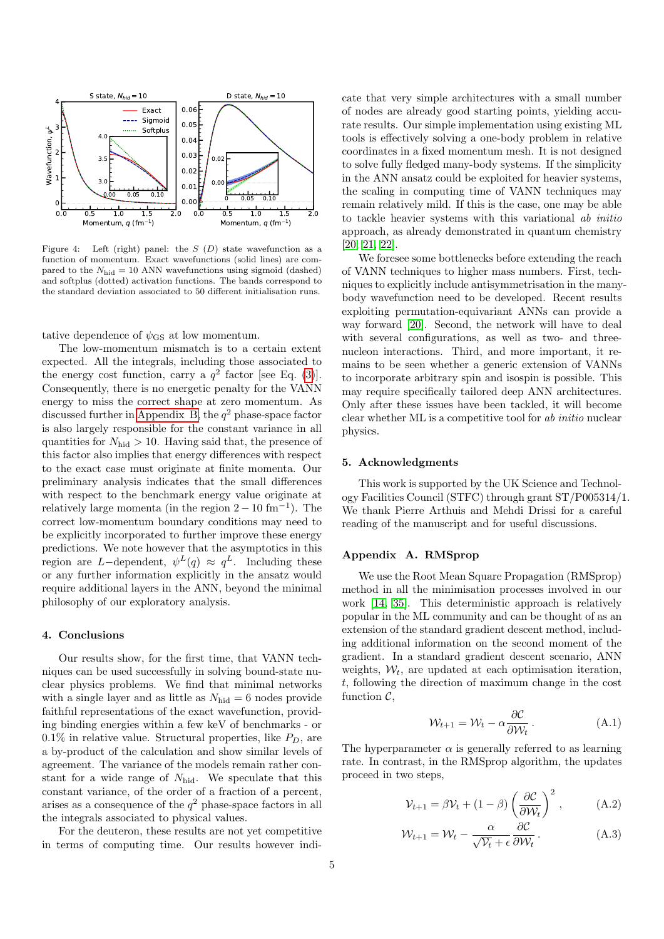

<span id="page-4-1"></span>Figure 4: Left (right) panel: the  $S(D)$  state wavefunction as a function of momentum. Exact wavefunctions (solid lines) are compared to the  $N_{\text{hid}} = 10$  ANN wavefunctions using sigmoid (dashed) and softplus (dotted) activation functions. The bands correspond to the standard deviation associated to 50 different initialisation runs.

tative dependence of  $\psi_{\text{GS}}$  at low momentum.

The low-momentum mismatch is to a certain extent expected. All the integrals, including those associated to the energy cost function, carry a  $q^2$  factor [see Eq. [\(3\)](#page-2-1)]. Consequently, there is no energetic penalty for the VANN energy to miss the correct shape at zero momentum. As discussed further in [Appendix B,](#page-5-0) the  $q^2$  phase-space factor is also largely responsible for the constant variance in all quantities for  $N_{\text{hid}} > 10$ . Having said that, the presence of this factor also implies that energy differences with respect to the exact case must originate at finite momenta. Our preliminary analysis indicates that the small differences with respect to the benchmark energy value originate at relatively large momenta (in the region  $2 - 10$  fm<sup>-1</sup>). The correct low-momentum boundary conditions may need to be explicitly incorporated to further improve these energy predictions. We note however that the asymptotics in this region are L-dependent,  $\psi^L(q) \approx q^L$ . Including these or any further information explicitly in the ansatz would require additional layers in the ANN, beyond the minimal philosophy of our exploratory analysis.

### 4. Conclusions

Our results show, for the first time, that VANN techniques can be used successfully in solving bound-state nuclear physics problems. We find that minimal networks with a single layer and as little as  $N_{\text{hid}} = 6$  nodes provide faithful representations of the exact wavefunction, providing binding energies within a few keV of benchmarks - or  $0.1\%$  in relative value. Structural properties, like  $P_D$ , are a by-product of the calculation and show similar levels of agreement. The variance of the models remain rather constant for a wide range of  $N_{\text{hid}}$ . We speculate that this constant variance, of the order of a fraction of a percent, arises as a consequence of the  $q^2$  phase-space factors in all the integrals associated to physical values.

For the deuteron, these results are not yet competitive in terms of computing time. Our results however indicate that very simple architectures with a small number of nodes are already good starting points, yielding accurate results. Our simple implementation using existing ML tools is effectively solving a one-body problem in relative coordinates in a fixed momentum mesh. It is not designed to solve fully fledged many-body systems. If the simplicity in the ANN ansatz could be exploited for heavier systems, the scaling in computing time of VANN techniques may remain relatively mild. If this is the case, one may be able to tackle heavier systems with this variational ab initio approach, as already demonstrated in quantum chemistry [\[20,](#page-7-17) [21,](#page-7-18) [22\]](#page-7-19).

We foresee some bottlenecks before extending the reach of VANN techniques to higher mass numbers. First, techniques to explicitly include antisymmetrisation in the manybody wavefunction need to be developed. Recent results exploiting permutation-equivariant ANNs can provide a way forward [\[20\]](#page-7-17). Second, the network will have to deal with several configurations, as well as two- and threenucleon interactions. Third, and more important, it remains to be seen whether a generic extension of VANNs to incorporate arbitrary spin and isospin is possible. This may require specifically tailored deep ANN architectures. Only after these issues have been tackled, it will become clear whether ML is a competitive tool for ab initio nuclear physics.

## 5. Acknowledgments

This work is supported by the UK Science and Technology Facilities Council (STFC) through grant ST/P005314/1. We thank Pierre Arthuis and Mehdi Drissi for a careful reading of the manuscript and for useful discussions.

# <span id="page-4-0"></span>Appendix A. RMSprop

We use the Root Mean Square Propagation (RMSprop) method in all the minimisation processes involved in our work [\[14,](#page-7-11) [35\]](#page-7-32). This deterministic approach is relatively popular in the ML community and can be thought of as an extension of the standard gradient descent method, including additional information on the second moment of the gradient. In a standard gradient descent scenario, ANN weights,  $W_t$ , are updated at each optimisation iteration. t, following the direction of maximum change in the cost function  $\mathcal{C}$ ,

$$
\mathcal{W}_{t+1} = \mathcal{W}_t - \alpha \frac{\partial \mathcal{C}}{\partial \mathcal{W}_t}.
$$
 (A.1)

The hyperparameter  $\alpha$  is generally referred to as learning rate. In contrast, in the RMSprop algorithm, the updates proceed in two steps,

$$
\mathcal{V}_{t+1} = \beta \mathcal{V}_t + (1 - \beta) \left( \frac{\partial \mathcal{C}}{\partial \mathcal{W}_t} \right)^2, \tag{A.2}
$$

<span id="page-4-2"></span>
$$
\mathcal{W}_{t+1} = \mathcal{W}_t - \frac{\alpha}{\sqrt{\mathcal{V}_t} + \epsilon} \frac{\partial \mathcal{C}}{\partial \mathcal{W}_t}.
$$
 (A.3)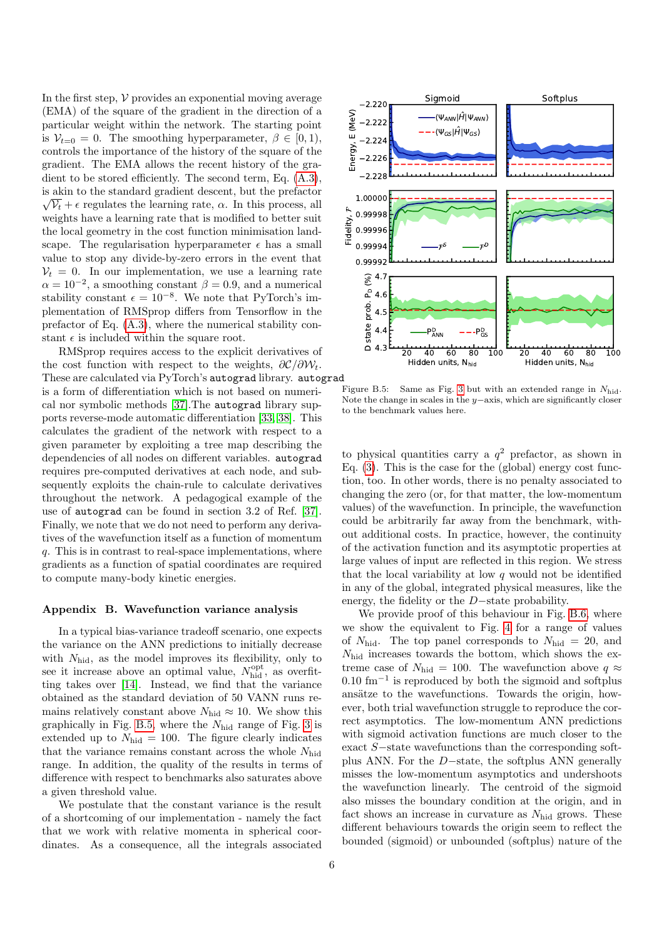In the first step,  $V$  provides an exponential moving average (EMA) of the square of the gradient in the direction of a particular weight within the network. The starting point is  $V_{t=0} = 0$ . The smoothing hyperparameter,  $\beta \in [0,1)$ , controls the importance of the history of the square of the gradient. The EMA allows the recent history of the gradient to be stored efficiently. The second term, Eq. [\(A.3\)](#page-4-2), is akin to the standard gradient descent, but the prefactor √  $\sqrt{\mathcal{V}_t} + \epsilon$  regulates the learning rate,  $\alpha$ . In this process, all weights have a learning rate that is modified to better suit the local geometry in the cost function minimisation landscape. The regularisation hyperparameter  $\epsilon$  has a small value to stop any divide-by-zero errors in the event that  $V_t = 0$ . In our implementation, we use a learning rate  $\alpha = 10^{-2}$ , a smoothing constant  $\beta = 0.9$ , and a numerical stability constant  $\epsilon = 10^{-8}$ . We note that PyTorch's implementation of RMSprop differs from Tensorflow in the prefactor of Eq. [\(A.3\)](#page-4-2), where the numerical stability constant  $\epsilon$  is included within the square root.

RMSprop requires access to the explicit derivatives of the cost function with respect to the weights,  $\partial \mathcal{C}/\partial \mathcal{W}_t$ . These are calculated via PyTorch's autograd library. autograd<br>is a form of differentiation which is not based on numeri Figure B.5: is a form of differentiation which is not based on numerical nor symbolic methods [\[37\]](#page-7-34).The autograd library supports reverse-mode automatic differentiation [\[33,](#page-7-30) [38\]](#page-7-35). This calculates the gradient of the network with respect to a given parameter by exploiting a tree map describing the dependencies of all nodes on different variables. autograd requires pre-computed derivatives at each node, and subsequently exploits the chain-rule to calculate derivatives throughout the network. A pedagogical example of the use of autograd can be found in section 3.2 of Ref. [\[37\]](#page-7-34). Finally, we note that we do not need to perform any derivatives of the wavefunction itself as a function of momentum q. This is in contrast to real-space implementations, where gradients as a function of spatial coordinates are required to compute many-body kinetic energies.

### <span id="page-5-0"></span>Appendix B. Wavefunction variance analysis

In a typical bias-variance tradeoff scenario, one expects the variance on the ANN predictions to initially decrease with  $N_{\text{hid}}$ , as the model improves its flexibility, only to see it increase above an optimal value,  $N_{\text{hid}}^{\text{opt}}$ , as overfitting takes over [\[14\]](#page-7-11). Instead, we find that the variance obtained as the standard deviation of 50 VANN runs remains relatively constant above  $N_{\text{hid}} \approx 10$ . We show this graphically in Fig. [B.5,](#page-5-1) where the  $N_{\text{hid}}$  range of Fig. [3](#page-2-2) is extended up to  $N_{\text{hid}} = 100$ . The figure clearly indicates that the variance remains constant across the whole  $N_{\text{hid}}$ range. In addition, the quality of the results in terms of difference with respect to benchmarks also saturates above a given threshold value.

We postulate that the constant variance is the result of a shortcoming of our implementation - namely the fact that we work with relative momenta in spherical coordinates. As a consequence, all the integrals associated



<span id="page-5-1"></span>Same as Fig. [3](#page-2-2) but with an extended range in  $N_{\text{hid}}$ . Note the change in scales in the  $y$ −axis, which are significantly closer to the benchmark values here.

to physical quantities carry a  $q^2$  prefactor, as shown in Eq. [\(3\)](#page-2-1). This is the case for the (global) energy cost function, too. In other words, there is no penalty associated to changing the zero (or, for that matter, the low-momentum values) of the wavefunction. In principle, the wavefunction could be arbitrarily far away from the benchmark, without additional costs. In practice, however, the continuity of the activation function and its asymptotic properties at large values of input are reflected in this region. We stress that the local variability at low  $q$  would not be identified in any of the global, integrated physical measures, like the energy, the fidelity or the D−state probability.

We provide proof of this behaviour in Fig. [B.6,](#page-6-2) where we show the equivalent to Fig. [4](#page-4-1) for a range of values of  $N_{\text{hid}}$ . The top panel corresponds to  $N_{\text{hid}} = 20$ , and Nhid increases towards the bottom, which shows the extreme case of  $N_{\text{hid}} = 100$ . The wavefunction above  $q \approx$ 0.10 fm<sup>−</sup><sup>1</sup> is reproduced by both the sigmoid and softplus ansätze to the wavefunctions. Towards the origin, however, both trial wavefunction struggle to reproduce the correct asymptotics. The low-momentum ANN predictions with sigmoid activation functions are much closer to the exact S−state wavefunctions than the corresponding softplus ANN. For the D−state, the softplus ANN generally misses the low-momentum asymptotics and undershoots the wavefunction linearly. The centroid of the sigmoid also misses the boundary condition at the origin, and in fact shows an increase in curvature as  $N_{\text{hid}}$  grows. These different behaviours towards the origin seem to reflect the bounded (sigmoid) or unbounded (softplus) nature of the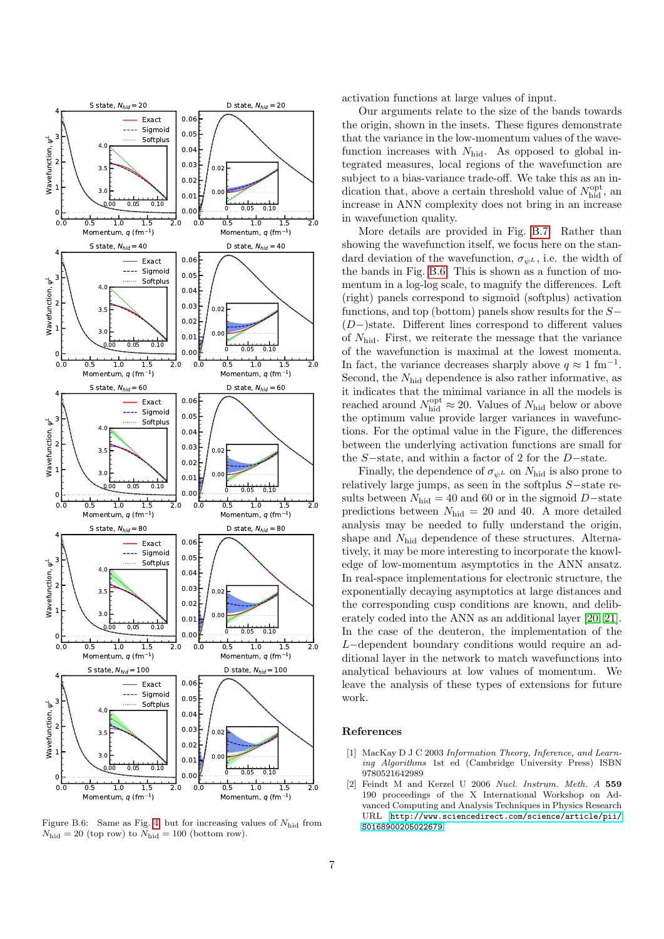

<span id="page-6-2"></span>Figure B.6: Same as Fig. [4,](#page-4-1) but for increasing values of  $N_{\text{hid}}$  from  $N_{\text{hid}} = 20$  (top row) to  $N_{\text{hid}} = 100$  (bottom row).

activation functions at large values of input.

Our arguments relate to the size of the bands towards the origin, shown in the insets. These figures demonstrate that the variance in the low-momentum values of the wavefunction increases with  $N_{\text{hid}}$ . As opposed to global integrated measures, local regions of the wavefunction are subject to a bias-variance trade-off. We take this as an indication that, above a certain threshold value of  $N_{\text{hid}}^{\text{opt}}$ , an increase in ANN complexity does not bring in an increase in wavefunction quality.

More details are provided in Fig. [B.7.](#page-7-36) Rather than showing the wavefunction itself, we focus here on the standard deviation of the wavefunction,  $\sigma_{\psi^L}$ , i.e. the width of the bands in Fig. [B.6.](#page-6-2) This is shown as a function of momentum in a log-log scale, to magnify the differences. Left (right) panels correspond to sigmoid (softplus) activation functions, and top (bottom) panels show results for the S− (D−)state. Different lines correspond to different values of  $N_{\text{hid}}$ . First, we reiterate the message that the variance of the wavefunction is maximal at the lowest momenta. In fact, the variance decreases sharply above  $q \approx 1 \text{ fm}^{-1}$ . Second, the  $N_{\text{hid}}$  dependence is also rather informative, as it indicates that the minimal variance in all the models is reached around  $N_{\rm hid}^{\rm opt} \approx 20$ . Values of  $N_{\rm hid}$  below or above the optimum value provide larger variances in wavefunctions. For the optimal value in the Figure, the differences between the underlying activation functions are small for the S−state, and within a factor of 2 for the D−state.

Finally, the dependence of  $\sigma_{\psi^L}$  on  $N_{\text{hid}}$  is also prone to relatively large jumps, as seen in the softplus S−state results between  $N_{\text{hid}} = 40$  and 60 or in the sigmoid D–state predictions between  $N_{\text{hid}} = 20$  and 40. A more detailed analysis may be needed to fully understand the origin, shape and  $N_{\text{hid}}$  dependence of these structures. Alternatively, it may be more interesting to incorporate the knowledge of low-momentum asymptotics in the ANN ansatz. In real-space implementations for electronic structure, the exponentially decaying asymptotics at large distances and the corresponding cusp conditions are known, and deliberately coded into the ANN as an additional layer [\[20,](#page-7-17) [21\]](#page-7-18). In the case of the deuteron, the implementation of the L−dependent boundary conditions would require an additional layer in the network to match wavefunctions into analytical behaviours at low values of momentum. We leave the analysis of these types of extensions for future work.

### References

- <span id="page-6-0"></span>[1] MacKay D J C 2003 Information Theory, Inference, and Learning Algorithms 1st ed (Cambridge University Press) ISBN 9780521642989
- <span id="page-6-1"></span>[2] Feindt M and Kerzel U 2006 Nucl. Instrum. Meth. A 559 190 proceedings of the X International Workshop on Advanced Computing and Analysis Techniques in Physics Research URL [http://www.sciencedirect.com/science/article/pii/](http://www.sciencedirect.com/science/article/pii/S0168900205022679) [S0168900205022679](http://www.sciencedirect.com/science/article/pii/S0168900205022679)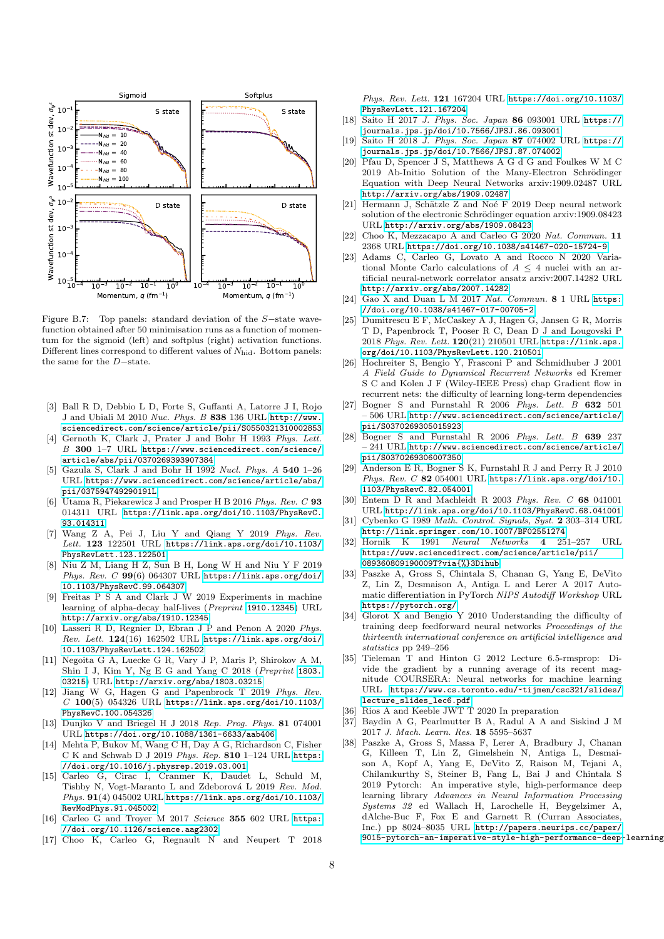

<span id="page-7-36"></span>Figure B.7: Top panels: standard deviation of the S−state wavefunction obtained after 50 minimisation runs as a function of momentum for the sigmoid (left) and softplus (right) activation functions. Different lines correspond to different values of  $N_{\text{hid}}$ . Bottom panels: the same for the D−state.

- <span id="page-7-0"></span>[3] Ball R D, Debbio L D, Forte S, Guffanti A, Latorre J I, Rojo J and Ubiali M 2010 Nuc. Phys. B 838 136 URL [http://www.](http://www.sciencedirect.com/science/article/pii/S0550321310002853) [sciencedirect.com/science/article/pii/S0550321310002853](http://www.sciencedirect.com/science/article/pii/S0550321310002853)
- <span id="page-7-1"></span>[4] Gernoth K, Clark J, Prater J and Bohr H 1993 Phys. Lett. B 300 1–7 URL [https://www.sciencedirect.com/science/](https://www.sciencedirect.com/science/article/abs/pii/0370269393907384) [article/abs/pii/0370269393907384](https://www.sciencedirect.com/science/article/abs/pii/0370269393907384)
- <span id="page-7-2"></span>[5] Gazula S, Clark J and Bohr H 1992 Nucl. Phys. A 540 1–26 URL [https://www.sciencedirect.com/science/article/abs/](https://www.sciencedirect.com/science/article/abs/pii/037594749290191L) [pii/037594749290191L](https://www.sciencedirect.com/science/article/abs/pii/037594749290191L)
- <span id="page-7-3"></span>[6] Utama R, Piekarewicz J and Prosper H B 2016 Phys. Rev. C 93 014311 URL [https://link.aps.org/doi/10.1103/PhysRevC.](https://link.aps.org/doi/10.1103/PhysRevC.93.014311) [93.014311](https://link.aps.org/doi/10.1103/PhysRevC.93.014311)
- <span id="page-7-4"></span>[7] Wang Z A, Pei J, Liu Y and Qiang Y 2019 Phys. Rev. Lett. 123 122501 URL [https://link.aps.org/doi/10.1103/](https://link.aps.org/doi/10.1103/PhysRevLett.123.122501) [PhysRevLett.123.122501](https://link.aps.org/doi/10.1103/PhysRevLett.123.122501)
- <span id="page-7-5"></span>[8] Niu Z M, Liang H Z, Sun B H, Long W H and Niu Y F 2019 Phys. Rev.  $C$  99(6) 064307 URL [https://link.aps.org/doi/](https://link.aps.org/doi/10.1103/PhysRevC.99.064307) [10.1103/PhysRevC.99.064307](https://link.aps.org/doi/10.1103/PhysRevC.99.064307)
- <span id="page-7-6"></span>[9] Freitas P S A and Clark J W 2019 Experiments in machine learning of alpha-decay half-lives (Preprint <1910.12345>) URL <http://arxiv.org/abs/1910.12345>
- <span id="page-7-7"></span>[10] Lasseri R D, Regnier D, Ebran J P and Penon A 2020 Phys.  $Rev.$  Lett.  $124(16)$  162502 URL [https://link.aps.org/doi/](https://link.aps.org/doi/10.1103/PhysRevLett.124.162502) [10.1103/PhysRevLett.124.162502](https://link.aps.org/doi/10.1103/PhysRevLett.124.162502)
- <span id="page-7-8"></span>[11] Negoita G A, Luecke G R, Vary J P, Maris P, Shirokov A M, Shin I J, Kim Y, Ng E G and Yang C 2018 (Preprint [1803.](1803.03215) [03215](1803.03215)) URL <http://arxiv.org/abs/1803.03215>
- <span id="page-7-9"></span>[12] Jiang W G, Hagen G and Papenbrock T 2019 Phys. Rev.  $C$  100(5) 054326 URL [https://link.aps.org/doi/10.1103/](https://link.aps.org/doi/10.1103/PhysRevC.100.054326) [PhysRevC.100.054326](https://link.aps.org/doi/10.1103/PhysRevC.100.054326)
- <span id="page-7-10"></span>[13] Dunjko V and Briegel H J 2018 Rep. Prog. Phys. 81 074001 URL <https://doi.org/10.1088/1361-6633/aab406>
- <span id="page-7-11"></span>[14] Mehta P, Bukov M, Wang C H, Day A G, Richardson C, Fisher C K and Schwab D J 2019 Phys. Rep.  $810$  1–124 URL [https:](https://doi.org/10.1016/j.physrep.2019.03.001) [//doi.org/10.1016/j.physrep.2019.03.001](https://doi.org/10.1016/j.physrep.2019.03.001)
- <span id="page-7-12"></span>[15] Carleo G, Cirac I, Cranmer K, Daudet L, Schuld M, Tishby N, Vogt-Maranto L and Zdeborová L 2019 Rev. Mod. Phys. 91(4) 045002 URL [https://link.aps.org/doi/10.1103/](https://link.aps.org/doi/10.1103/RevModPhys.91.045002) [RevModPhys.91.045002](https://link.aps.org/doi/10.1103/RevModPhys.91.045002)
- <span id="page-7-13"></span>[16] Carleo G and Troyer M 2017 Science 355 602 URL [https:](https://doi.org/10.1126/science.aag2302) [//doi.org/10.1126/science.aag2302](https://doi.org/10.1126/science.aag2302)
- <span id="page-7-14"></span>[17] Choo K, Carleo G, Regnault N and Neupert T 2018

Phys. Rev. Lett. 121 167204 URL [https://doi.org/10.1103/](https://doi.org/10.1103/PhysRevLett.121.167204) [PhysRevLett.121.167204](https://doi.org/10.1103/PhysRevLett.121.167204)

- <span id="page-7-15"></span>[18] Saito H 2017 J. Phys. Soc. Japan 86 093001 URL [https://](https://journals.jps.jp/doi/10.7566/JPSJ.86.093001) [journals.jps.jp/doi/10.7566/JPSJ.86.093001](https://journals.jps.jp/doi/10.7566/JPSJ.86.093001)
- <span id="page-7-16"></span>[19] Saito H 2018 J. Phys. Soc. Japan 87 074002 URL [https://](https://journals.jps.jp/doi/10.7566/JPSJ.87.074002) [journals.jps.jp/doi/10.7566/JPSJ.87.074002](https://journals.jps.jp/doi/10.7566/JPSJ.87.074002)
- <span id="page-7-17"></span>[20] Pfau D, Spencer J S, Matthews A G d G and Foulkes W M C 2019 Ab-Initio Solution of the Many-Electron Schrödinger Equation with Deep Neural Networks arxiv:1909.02487 URL <http://arxiv.org/abs/1909.02487>
- <span id="page-7-18"></span>[21] Hermann J, Schätzle Z and Noé F 2019 Deep neural network solution of the electronic Schrödinger equation arxiv:1909.08423 URL <http://arxiv.org/abs/1909.08423>
- <span id="page-7-19"></span>[22] Choo K, Mezzacapo A and Carleo G 2020 Nat. Commun. 11 2368 URL <https://doi.org/10.1038/s41467-020-15724-9>
- <span id="page-7-20"></span>[23] Adams C, Carleo G, Lovato A and Rocco N 2020 Variational Monte Carlo calculations of  $A \leq 4$  nuclei with an artificial neural-network correlator ansatz arxiv:2007.14282 URL <http://arxiv.org/abs/2007.14282>
- <span id="page-7-21"></span>[24] Gao X and Duan L M 2017 Nat. Commun. 8 1 URL [https:](https://doi.org/10.1038/s41467-017-00705-2) [//doi.org/10.1038/s41467-017-00705-2](https://doi.org/10.1038/s41467-017-00705-2)
- <span id="page-7-22"></span>[25] Dumitrescu E F, McCaskey A J, Hagen G, Jansen G R, Morris T D, Papenbrock T, Pooser R C, Dean D J and Lougovski P 2018 Phys. Rev. Lett. 120(21) 210501 URL [https://link.aps.](https://link.aps.org/doi/10.1103/PhysRevLett.120.210501) [org/doi/10.1103/PhysRevLett.120.210501](https://link.aps.org/doi/10.1103/PhysRevLett.120.210501)
- <span id="page-7-23"></span>[26] Hochreiter S, Bengio Y, Frasconi P and Schmidhuber J 2001 A Field Guide to Dynamical Recurrent Networks ed Kremer S C and Kolen J F (Wiley-IEEE Press) chap Gradient flow in recurrent nets: the difficulty of learning long-term dependencies
- <span id="page-7-24"></span>[27] Bogner S and Furnstahl R 2006 Phys. Lett. B 632 501 – 506 URL [http://www.sciencedirect.com/science/article/](http://www.sciencedirect.com/science/article/pii/S0370269305015923) [pii/S0370269305015923](http://www.sciencedirect.com/science/article/pii/S0370269305015923)
- <span id="page-7-25"></span>[28] Bogner S and Furnstahl R 2006 Phys. Lett. B 639 237 – 241 URL [http://www.sciencedirect.com/science/article/](http://www.sciencedirect.com/science/article/pii/S0370269306007350) [pii/S0370269306007350](http://www.sciencedirect.com/science/article/pii/S0370269306007350)
- <span id="page-7-26"></span>[29] Anderson E R, Bogner S K, Furnstahl R J and Perry R J 2010 Phys. Rev.  $C$  82 054001 URL [https://link.aps.org/doi/10.](https://link.aps.org/doi/10.1103/PhysRevC.82.054001) [1103/PhysRevC.82.054001](https://link.aps.org/doi/10.1103/PhysRevC.82.054001)
- <span id="page-7-27"></span>[30] Entem D R and Machleidt R 2003 Phys. Rev. C 68 041001 URL <http://link.aps.org/doi/10.1103/PhysRevC.68.041001>
- <span id="page-7-28"></span>[31] Cybenko G 1989 Math. Control. Signals, Syst. 2 303–314 URL <http://link.springer.com/10.1007/BF02551274>
- <span id="page-7-29"></span>[32] Hornik K 1991 Neural Networks 4 251–257 URL [https://www.sciencedirect.com/science/article/pii/](https://www.sciencedirect.com/science/article/pii/089360809190009T?via{%}3Dihub) [089360809190009T?via{%}3Dihub](https://www.sciencedirect.com/science/article/pii/089360809190009T?via{%}3Dihub)
- <span id="page-7-30"></span>[33] Paszke A, Gross S, Chintala S, Chanan G, Yang E, DeVito Z, Lin Z, Desmaison A, Antiga L and Lerer A 2017 Automatic differentiation in PyTorch NIPS Autodiff Workshop URL <https://pytorch.org/>
- <span id="page-7-31"></span>[34] Glorot X and Bengio Y 2010 Understanding the difficulty of training deep feedforward neural networks Proceedings of the thirteenth international conference on artificial intelligence and statistics pp 249–256
- <span id="page-7-32"></span>[35] Tieleman T and Hinton G 2012 Lecture 6.5-rmsprop: Divide the gradient by a running average of its recent magnitude COURSERA: Neural networks for machine learning URL [https://www.cs.toronto.edu/~tijmen/csc321/slides/](https://www.cs.toronto.edu/~tijmen/csc321/slides/lecture_slides_lec6.pdf) [lecture\\_slides\\_lec6.pdf](https://www.cs.toronto.edu/~tijmen/csc321/slides/lecture_slides_lec6.pdf)
- <span id="page-7-33"></span>[36] Rios A and Keeble JWT T 2020 In preparation
- <span id="page-7-34"></span>[37] Baydin A G, Pearlmutter B A, Radul A A and Siskind J M 2017 J. Mach. Learn. Res. 18 5595–5637
- <span id="page-7-35"></span>[38] Paszke A, Gross S, Massa F, Lerer A, Bradbury J, Chanan G, Killeen T, Lin Z, Gimelshein N, Antiga L, Desmaison A, Kopf A, Yang E, DeVito Z, Raison M, Tejani A, Chilamkurthy S, Steiner B, Fang L, Bai J and Chintala S 2019 Pytorch: An imperative style, high-performance deep learning library Advances in Neural Information Processing Systems 32 ed Wallach H, Larochelle H, Beygelzimer A, dAlche-Buc F, Fox E and Garnett R (Curran Associates, Inc.) pp 8024–8035 URL [http://papers.neurips.cc/paper/](http://papers.neurips.cc/paper/9015-pytorch-an-imperative-style-high-performance-deep-learning-library.pdf) [9015-pytorch-an-imperative-style-high-performance-deep-](http://papers.neurips.cc/paper/9015-pytorch-an-imperative-style-high-performance-deep-learning-library.pdf)learning